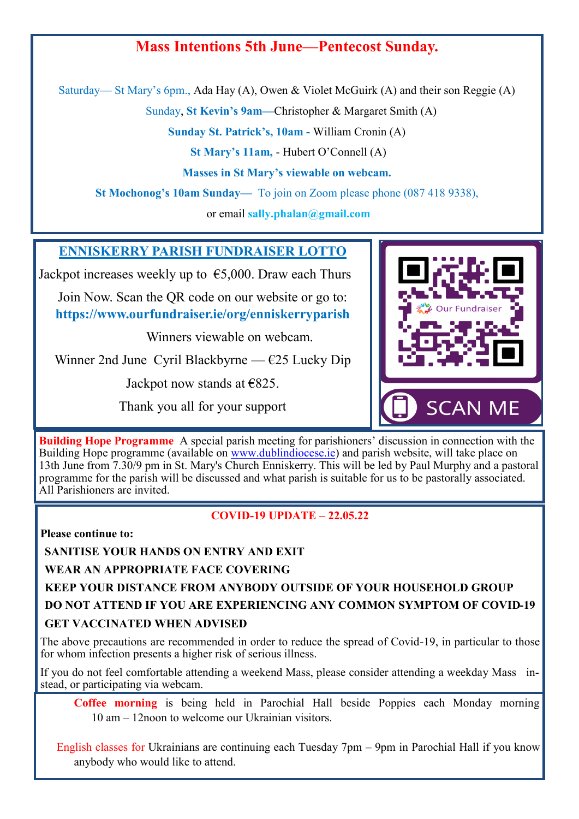## **Mass Intentions 5th June—Pentecost Sunday.**

Saturday— St Mary's 6pm., Ada Hay (A), Owen & Violet McGuirk (A) and their son Reggie (A)

Sunday, **St Kevin's 9am—**Christopher & Margaret Smith (A)

**Sunday St. Patrick's, 10am -** William Cronin (A)

**St Mary's 11am,** - Hubert O'Connell (A)

**Masses in St Mary's viewable on webcam.**

**St Mochonog's 10am Sunday—** To join on Zoom please phone (087 418 9338),

or email **sally.phalan@gmail.com** 

## **ENNISKERRY PARISH FUNDRAISER LOTTO**

Jackpot increases weekly up to  $\epsilon$ 5,000. Draw each Thurs

Join Now. Scan the QR code on our website or go to: **https://www.ourfundraiser.ie/org/enniskerryparish**

Winners viewable on webcam.

Winner 2nd June Cyril Blackbyrne —  $\epsilon$ 25 Lucky Dip

Jackpot now stands at  $\epsilon$ 825.

Thank you all for your support



**Building Hope Programme** A special parish meeting for parishioners' discussion in connection with the Building Hope programme (available on [www.dublindiocese.ie\)](http://www.dublindiocese.ie) and parish website, will take place on 13th June from 7.30/9 pm in St. Mary's Church Enniskerry. This will be led by Paul Murphy and a pastoral programme for the parish will be discussed and what parish is suitable for us to be pastorally associated. All Parishioners are invited.

## **COVID-19 UPDATE – 22.05.22**

**Please continue to:**

**SANITISE YOUR HANDS ON ENTRY AND EXIT**

**WEAR AN APPROPRIATE FACE COVERING**

**KEEP YOUR DISTANCE FROM ANYBODY OUTSIDE OF YOUR HOUSEHOLD GROUP DO NOT ATTEND IF YOU ARE EXPERIENCING ANY COMMON SYMPTOM OF COVID-19 GET VACCINATED WHEN ADVISED**

The above precautions are recommended in order to reduce the spread of Covid-19, in particular to those for whom infection presents a higher risk of serious illness.

If you do not feel comfortable attending a weekend Mass, please consider attending a weekday Mass instead, or participating via webcam.

**Coffee morning** is being held in Parochial Hall beside Poppies each Monday morning 10 am – 12noon to welcome our Ukrainian visitors.

English classes for Ukrainians are continuing each Tuesday 7pm – 9pm in Parochial Hall if you know anybody who would like to attend.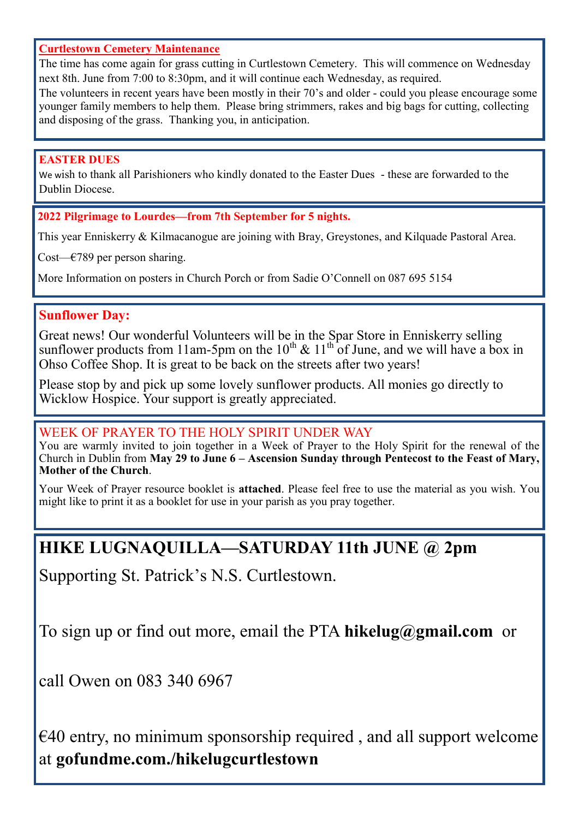## **Curtlestown Cemetery Maintenance**

The time has come again for grass cutting in Curtlestown Cemetery. This will commence on Wednesday next 8th. June from 7:00 to 8:30pm, and it will continue each Wednesday, as required.

The volunteers in recent years have been mostly in their 70's and older - could you please encourage some younger family members to help them. Please bring strimmers, rakes and big bags for cutting, collecting and disposing of the grass. Thanking you, in anticipation.

## **EASTER DUES**

We wish to thank all Parishioners who kindly donated to the Easter Dues - these are forwarded to the Dublin Diocese.

**2022 Pilgrimage to Lourdes—from 7th September for 5 nights.**

This year Enniskerry & Kilmacanogue are joining with Bray, Greystones, and Kilquade Pastoral Area.

Cost— $\epsilon$ 789 per person sharing.

More Information on posters in Church Porch or from Sadie O'Connell on 087 695 5154

## **Sunflower Day:**

Great news! Our wonderful Volunteers will be in the Spar Store in Enniskerry selling sunflower products from 11am-5pm on the  $10^{th} \& 11^{th}$  of June, and we will have a box in Ohso Coffee Shop. It is great to be back on the streets after two years!

Please stop by and pick up some lovely sunflower products. All monies go directly to Wicklow Hospice. Your support is greatly appreciated.

## WEEK OF PRAYER TO THE HOLY SPIRIT UNDER WAY

You are warmly invited to join together in a Week of Prayer to the Holy Spirit for the renewal of the Church in Dublin from **May 29 to June 6 – Ascension Sunday through Pentecost to the Feast of Mary, Mother of the Church**.

Your Week of Prayer resource booklet is **attached**. Please feel free to use the material as you wish. You might like to print it as a booklet for use in your parish as you pray together.

## **HIKE LUGNAQUILLA—SATURDAY 11th JUNE @ 2pm**

Supporting St. Patrick's N.S. Curtlestown.

To sign up or find out more, email the PTA **hikelug@gmail.com** or

call Owen on 083 340 6967

 $\epsilon$ 40 entry, no minimum sponsorship required, and all support welcome at **gofundme.com./hikelugcurtlestown**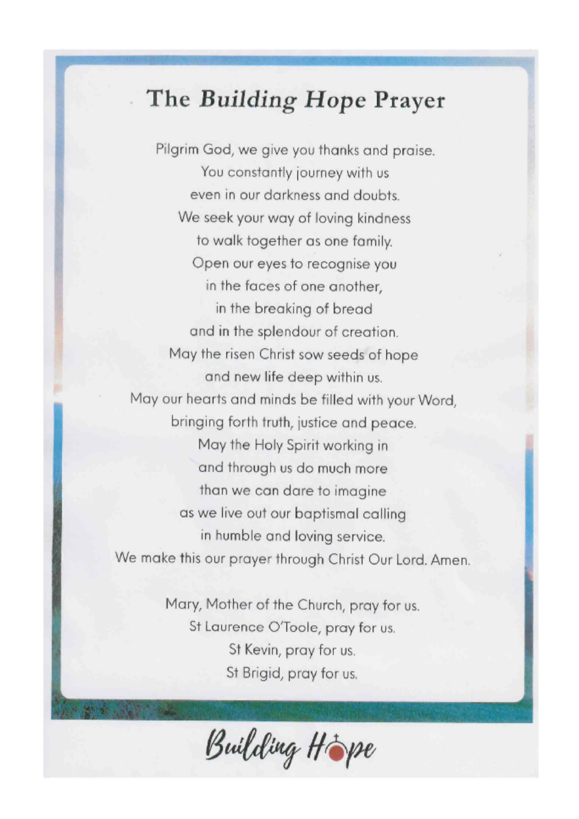# The Building Hope Prayer

Pilgrim God, we give you thanks and praise. You constantly journey with us even in our darkness and doubts. We seek your way of loving kindness to walk together as one family. Open our eyes to recognise you in the faces of one another. in the breaking of bread and in the splendour of creation. May the risen Christ sow seeds of hope and new life deep within us. May our hearts and minds be filled with your Word, bringing forth truth, justice and peace. May the Holy Spirit working in and through us do much more than we can dare to imagine as we live out our baptismal calling in humble and loving service. We make this our prayer through Christ Our Lord. Amen.

> Mary, Mother of the Church, pray for us. St Laurence O'Toole, pray for us. St Kevin, pray for us. St Brigid, pray for us.

Building Hope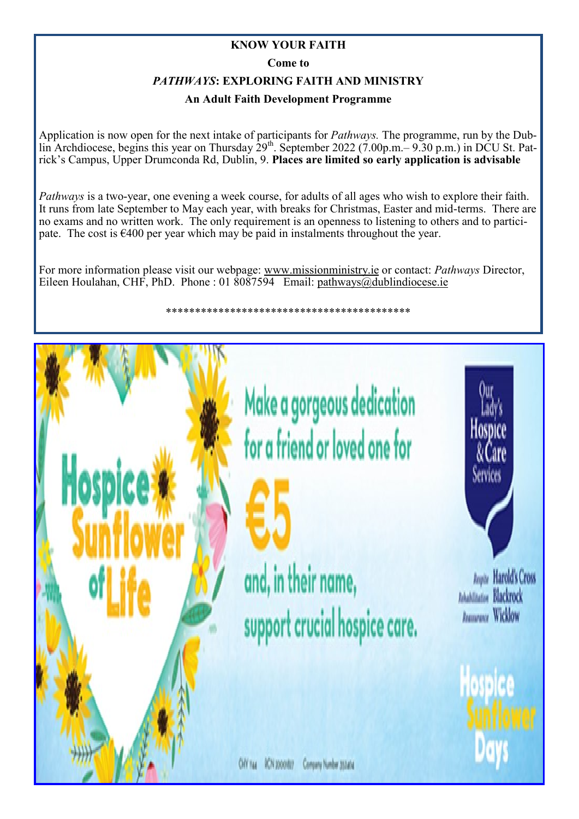## **KNOW YOUR FAITH**

**Come to** 

## *PATHWAYS***: EXPLORING FAITH AND MINISTRY**

## **An Adult Faith Development Programme**

Application is now open for the next intake of participants for *Pathways.* The programme, run by the Dublin Archdiocese, begins this year on Thursday 29<sup>th</sup>. September 2022 (7.00p.m.– 9.30 p.m.) in DCU St. Patrick's Campus, Upper Drumconda Rd, Dublin, 9. **Places are limited so early application is advisable**

*Pathways* is a two-year, one evening a week course, for adults of all ages who wish to explore their faith. It runs from late September to May each year, with breaks for Christmas, Easter and mid-terms. There are no exams and no written work. The only requirement is an openness to listening to others and to participate. The cost is  $6400$  per year which may be paid in instalments throughout the year.

For more information please visit our webpage: [www.missionministry.ie](http://www.missionministry.ie) or contact: *Pathways* Director, Eileen Houlahan, CHF, PhD. Phone : 01  $\overline{\text{8087594}}$  Email: [pathways@dublindiocese.ie](mailto:pathways@dublindiocese.ie)